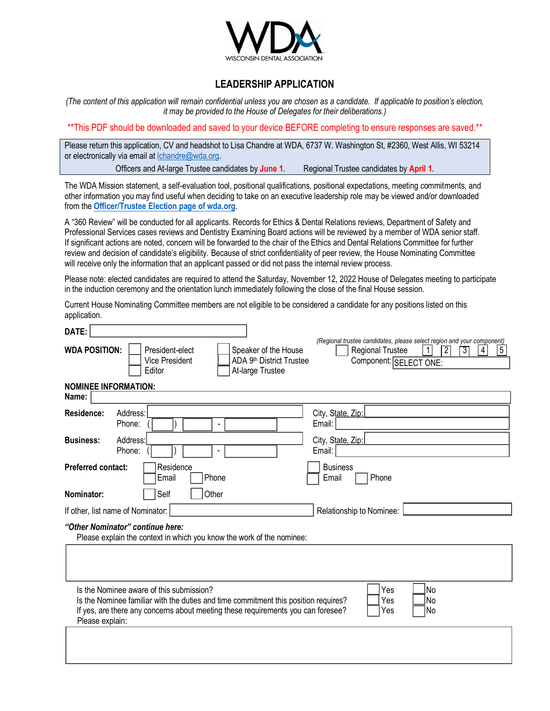

## **LEADERSHIP APPLICATION**

*(The content of this application will remain confidential unless you are chosen as a candidate. If applicable to position's election, it may be provided to the House of Delegates for their deliberations.)*

\*\*This PDF should be downloaded and saved to your device BEFORE completing to ensure responses are saved.\*\*

Please return this application, CV and headshot to Lisa Chandre at WDA, 6737 W. Washington St, #2360, West Allis, WI 53214 or electronically via email at lchandre@wda.org. Officers and At-large Trustee candidates by **June 1**. Regional Trustee candidates by **April 1**.

The WD[A Mission statement, a self-evaluation tool, p](https://www.wda.org/member-center/house-of-delegates/officer-and-trustee-elections)ositional qualifications, positional expectations, meeting commitments, and other information you may find useful when deciding to take on an executive leadership role may be viewed and/or downloaded from the **Officer/Trustee Election page of wda.org**.

A "360 Review" will be conducted for all applicants. Records for Ethics & Dental Relations reviews, Department of Safety and Professional Services cases reviews and Dentistry Examining Board actions will be reviewed by a member of WDA senior staff. If significant actions are noted, concern will be forwarded to the chair of the Ethics and Dental Relations Committee for further review and decision of candidate's eligibility. Because of strict confidentiality of peer review, the House Nominating Committee will receive only the information that an applicant passed or did not pass the internal review process.

Please note: elected candidates are required to attend the Saturday, November 12, 2022 House of Delegates meeting to participate in the induction ceremony and the orientation lunch immediately following the close of the final House session.

Current House Nominating Committee members are not eligible to be considered a candidate for any positions listed on this application.

| DATE:                                                                                                                                                                                                                                                                           |                                                                                                                                                                                            |  |
|---------------------------------------------------------------------------------------------------------------------------------------------------------------------------------------------------------------------------------------------------------------------------------|--------------------------------------------------------------------------------------------------------------------------------------------------------------------------------------------|--|
| <b>WDA POSITION:</b><br>President-elect<br>Speaker of the House<br>ADA 9th District Trustee<br><b>Vice President</b><br>At-large Trustee<br>Editor                                                                                                                              | (Regional trustee candidates, please select region and your component)<br>$5\,$<br><b>Regional Trustee</b><br>$\vert$ 1<br>$\overline{2}$<br>$\overline{3}$<br>4<br>Component: SELECT ONE: |  |
| <b>NOMINEE INFORMATION:</b><br>Name:                                                                                                                                                                                                                                            |                                                                                                                                                                                            |  |
| Address:<br>Residence:<br>Phone:                                                                                                                                                                                                                                                | City, State, Zip:<br>Email:                                                                                                                                                                |  |
| Address:<br><b>Business:</b><br>Phone:                                                                                                                                                                                                                                          | City, State, Zip:<br>Email:                                                                                                                                                                |  |
| <b>Preferred contact:</b><br>Residence<br>Phone<br>Email                                                                                                                                                                                                                        | <b>Business</b><br>Phone<br>Email                                                                                                                                                          |  |
| Other<br>Self<br>Nominator:                                                                                                                                                                                                                                                     |                                                                                                                                                                                            |  |
| If other, list name of Nominator:                                                                                                                                                                                                                                               | Relationship to Nominee:                                                                                                                                                                   |  |
| "Other Nominator" continue here:<br>Please explain the context in which you know the work of the nominee:                                                                                                                                                                       |                                                                                                                                                                                            |  |
|                                                                                                                                                                                                                                                                                 |                                                                                                                                                                                            |  |
| lNo<br>Is the Nominee aware of this submission?<br>Yes<br>No<br>Is the Nominee familiar with the duties and time commitment this position requires?<br>Yes<br>If yes, are there any concerns about meeting these requirements you can foresee?<br> No<br>Yes<br>Please explain: |                                                                                                                                                                                            |  |
|                                                                                                                                                                                                                                                                                 |                                                                                                                                                                                            |  |